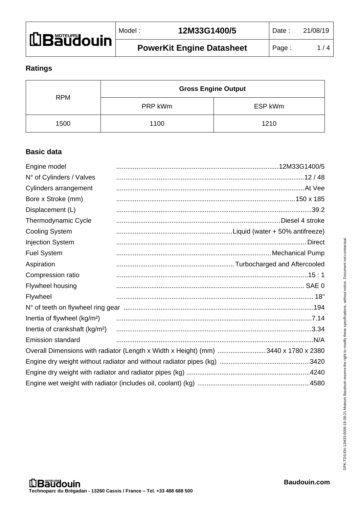| LBaudouin | Model | 12M33G1400/5                     | Date: | 21/08/19 |
|-----------|-------|----------------------------------|-------|----------|
|           |       | <b>PowerKit Engine Datasheet</b> | Page  | /4       |

### **Ratings**

|      | <b>Gross Engine Output</b> |         |
|------|----------------------------|---------|
|      | <b>RPM</b><br>PRP kWm      | ESP kWm |
| 1500 | 1100                       | 1210    |

# **Basic data**

| Engine model                               |                                                                                    |  |
|--------------------------------------------|------------------------------------------------------------------------------------|--|
| N° of Cylinders / Valves                   |                                                                                    |  |
| Cylinders arrangement                      |                                                                                    |  |
| Bore x Stroke (mm)                         |                                                                                    |  |
| Displacement (L)                           |                                                                                    |  |
| Thermodynamic Cycle                        |                                                                                    |  |
| <b>Cooling System</b>                      |                                                                                    |  |
| <b>Injection System</b>                    |                                                                                    |  |
| <b>Fuel System</b>                         |                                                                                    |  |
| Aspiration                                 |                                                                                    |  |
| Compression ratio                          |                                                                                    |  |
| Flywheel housing                           |                                                                                    |  |
| Flywheel                                   |                                                                                    |  |
|                                            |                                                                                    |  |
| Inertia of flywheel (kg/m <sup>2</sup> )   |                                                                                    |  |
| Inertia of crankshaft (kg/m <sup>2</sup> ) |                                                                                    |  |
| <b>Emission standard</b>                   |                                                                                    |  |
|                                            | Overall Dimensions with radiator (Length x Width x Height) (mm) 3440 x 1780 x 2380 |  |
|                                            |                                                                                    |  |
|                                            |                                                                                    |  |
|                                            |                                                                                    |  |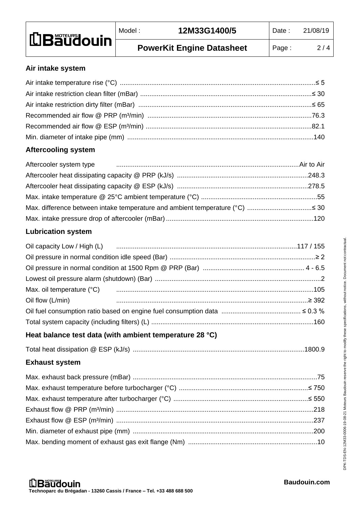| <b>LBaudouin</b> | Model: | 12M33G1400/5                     | Date: | 21/08/19 |
|------------------|--------|----------------------------------|-------|----------|
|                  |        | <b>PowerKit Engine Datasheet</b> | Page: | 2/4      |

#### **Air intake system**

# **Aftercooling system**

# **Lubrication system**

| Max. oil temperature (°C) manufacture (000 minimum contracto contracto manufacture (000 minimum contracto mini |  |
|----------------------------------------------------------------------------------------------------------------|--|
| Oil flow (L/min) 2392                                                                                          |  |
|                                                                                                                |  |
|                                                                                                                |  |

# **Heat balance test data (with ambient temperature 28 °C)**

|--|--|

# **Exhaust system**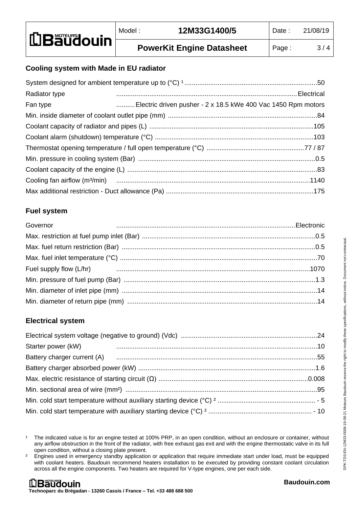### **Cooling system with Made in EU radiator**

| Radiator type |                                                               |
|---------------|---------------------------------------------------------------|
| Fan type      | Electric driven pusher - 2 x 18.5 kWe 400 Vac 1450 Rpm motors |
|               |                                                               |
|               |                                                               |
|               |                                                               |
|               |                                                               |
|               |                                                               |
|               |                                                               |
|               |                                                               |
|               |                                                               |

### **Fuel system**

| Governor |  |
|----------|--|
|          |  |
|          |  |
|          |  |
|          |  |
|          |  |
|          |  |
|          |  |

# **Electrical system**

| Starter power (kW) |  |
|--------------------|--|
|                    |  |
|                    |  |
|                    |  |
|                    |  |
|                    |  |
|                    |  |
|                    |  |

<sup>&</sup>lt;sup>1</sup> The indicated value is for an engine tested at 100% PRP, in an open condition, without an enclosure or container, without any airflow obstruction in the front of the radiator, with free exhaust gas exit and with the engine thermostatic valve in its full open condition, without a closing plate present.

<sup>&</sup>lt;sup>2</sup> Engines used in emergency standby application or application that require immediate start under load, must be equipped with coolant heaters. Baudouin recommend heaters installation to be executed by providing constant coolant circulation across all the engine components. Two heaters are required for V-type engines, one per each side.